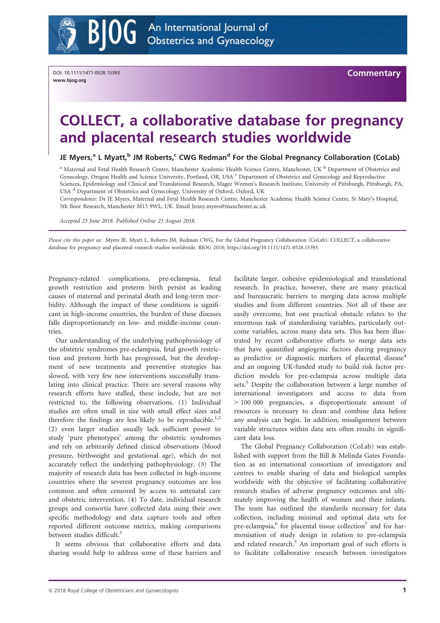

DOI: 10.1111/1471-0528.15393 www.bjog.org

**Commentary** 

# COLLECT, a collaborative database for pregnancy and placental research studies worldwide

# JE Myers,<sup>a</sup> L Myatt,<sup>b</sup> JM Roberts,<sup>c</sup> CWG Redman<sup>d</sup> For the Global Pregnancy Collaboration (CoLab)

<sup>a</sup> Maternal and Fetal Health Research Centre, Manchester Academic Health Science Centre, Manchester, UK <sup>b</sup> Department of Obstetrics and Gynecology, Oregon Health and Science University, Portland, OR, USA c Department of Obstetrics and Gynecology and Reproductive Sciences, Epidemiology and Clinical and Translational Research, Magee Women's Research Institute, University of Pittsburgh, Pittsburgh, PA, USA <sup>d</sup> Department of Obstetrics and Gynecology, University of Oxford, Oxford, UK

Correspondence: Dr JE Myers, Maternal and Fetal Health Research Centre, Manchester Academic Health Science Centre, St Mary's Hospital, 5th floor Research, Manchester M13 9WL, UK. Email [Jenny.myers@manchester.ac.uk](mailto:)

Accepted 23 June 2018. Published Online 23 August 2018.

Please cite this paper as: Myers JE, Myatt L, Roberts JM, Redman CWG, For the Global Pregnancy Collaboration (CoLab). COLLECT, a collaborative database for pregnancy and placental research studies worldwide. BJOG 2018;<https://doi.org/10.1111/1471-0528.15393>.

Pregnancy-related complications, pre-eclampsia, fetal growth restriction and preterm birth persist as leading causes of maternal and perinatal death and long-term morbidity. Although the impact of these conditions is significant in high-income countries, the burden of these diseases falls disproportionately on low- and middle-income countries.

Our understanding of the underlying pathophysiology of the obstetric syndromes pre-eclampsia, fetal growth restriction and preterm birth has progressed, but the development of new treatments and preventive strategies has slowed, with very few new interventions successfully translating into clinical practice. There are several reasons why research efforts have stalled, these include, but are not restricted to, the following observations. (1) Individual studies are often small in size with small effect sizes and therefore the findings are less likely to be reproducible.<sup>1,2</sup> (2) even larger studies usually lack sufficient power to study 'pure phenotypes' among the obstetric syndromes and rely on arbitrarily defined clinical observations (blood pressure, birthweight and gestational age), which do not accurately reflect the underlying pathophysiology. (3) The majority of research data has been collected in high-income countries where the severest pregnancy outcomes are less common and often censored by access to antenatal care and obstetric intervention. (4) To date, individual research groups and consortia have collected data using their own specific methodology and data capture tools and often reported different outcome metrics, making comparisons between studies difficult.<sup>3</sup>

It seems obvious that collaborative efforts and data sharing would help to address some of these barriers and

facilitate larger, cohesive epidemiological and translational research. In practice, however, there are many practical and bureaucratic barriers to merging data across multiple studies and from different countries. Not all of these are easily overcome, but one practical obstacle relates to the enormous task of standardising variables, particularly outcome variables, across many data sets. This has been illustrated by recent collaborative efforts to merge data sets that have quantified angiogenic factors during pregnancy as predictive or diagnostic markers of placental disease<sup>4</sup> and an ongoing UK-funded study to build risk factor prediction models for pre-eclampsia across multiple data sets.<sup>5</sup> Despite the collaboration between a large number of international investigators and access to data from > 100 000 pregnancies, a disproportionate amount of resources is necessary to clean and combine data before any analysis can begin. In addition, misalignment between variable structures within data sets often results in significant data loss.

The Global Pregnancy Collaboration (CoLab) was established with support from the Bill & Melinda Gates Foundation as an international consortium of investigators and centres to enable sharing of data and biological samples worldwide with the objective of facilitating collaborative research studies of adverse pregnancy outcomes and ultimately improving the health of women and their infants. The team has outlined the standards necessary for data collection, including minimal and optimal data sets for pre-eclampsia, $6$  for placental tissue collection<sup>7</sup> and for harmonisation of study design in relation to pre-eclampsia and related research.<sup>3</sup> An important goal of such efforts is to facilitate collaborative research between investigators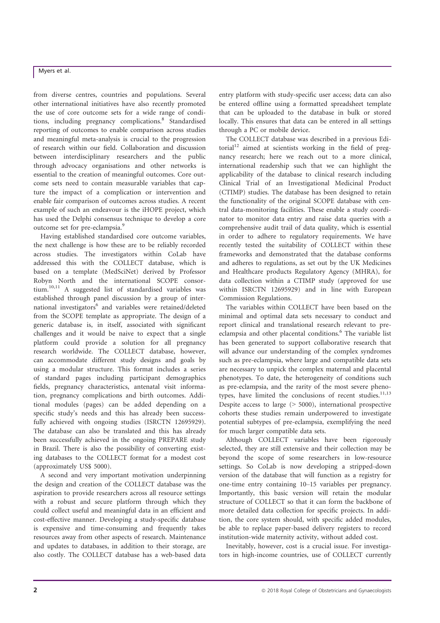# Myers et al.

from diverse centres, countries and populations. Several other international initiatives have also recently promoted the use of core outcome sets for a wide range of conditions, including pregnancy complications.<sup>8</sup> Standardised reporting of outcomes to enable comparison across studies and meaningful meta-analysis is crucial to the progression of research within our field. Collaboration and discussion between interdisciplinary researchers and the public through advocacy organisations and other networks is essential to the creation of meaningful outcomes. Core outcome sets need to contain measurable variables that capture the impact of a complication or intervention and enable fair comparison of outcomes across studies. A recent example of such an endeavour is the iHOPE project, which has used the Delphi consensus technique to develop a core outcome set for pre-eclampsia.<sup>9</sup>

Having established standardised core outcome variables, the next challenge is how these are to be reliably recorded across studies. The investigators within CoLab have addressed this with the COLLECT database, which is based on a template (MedSciNet) derived by Professor Robyn North and the international SCOPE consortium.<sup>10,11</sup> A suggested list of standardised variables was established through panel discussion by a group of international investigators<sup>6</sup> and variables were retained/deleted from the SCOPE template as appropriate. The design of a generic database is, in itself, associated with significant challenges and it would be naive to expect that a single platform could provide a solution for all pregnancy research worldwide. The COLLECT database, however, can accommodate different study designs and goals by using a modular structure. This format includes a series of standard pages including participant demographics fields, pregnancy characteristics, antenatal visit information, pregnancy complications and birth outcomes. Additional modules (pages) can be added depending on a specific study's needs and this has already been successfully achieved with ongoing studies (ISRCTN 12695929). The database can also be translated and this has already been successfully achieved in the ongoing PREPARE study in Brazil. There is also the possibility of converting existing databases to the COLLECT format for a modest cost (approximately US\$ 5000).

A second and very important motivation underpinning the design and creation of the COLLECT database was the aspiration to provide researchers across all resource settings with a robust and secure platform through which they could collect useful and meaningful data in an efficient and cost-effective manner. Developing a study-specific database is expensive and time-consuming and frequently takes resources away from other aspects of research. Maintenance and updates to databases, in addition to their storage, are also costly. The COLLECT database has a web-based data

entry platform with study-specific user access; data can also be entered offline using a formatted spreadsheet template that can be uploaded to the database in bulk or stored locally. This ensures that data can be entered in all settings through a PC or mobile device.

The COLLECT database was described in a previous Editorial<sup>12</sup> aimed at scientists working in the field of pregnancy research; here we reach out to a more clinical, international readership such that we can highlight the applicability of the database to clinical research including Clinical Trial of an Investigational Medicinal Product (CTIMP) studies. The database has been designed to retain the functionality of the original SCOPE database with central data-monitoring facilities. These enable a study coordinator to monitor data entry and raise data queries with a comprehensive audit trail of data quality, which is essential in order to adhere to regulatory requirements. We have recently tested the suitability of COLLECT within these frameworks and demonstrated that the database conforms and adheres to regulations, as set out by the UK Medicines and Healthcare products Regulatory Agency (MHRA), for data collection within a CTIMP study (approved for use within ISRCTN 12695929) and in line with European Commission Regulations.

The variables within COLLECT have been based on the minimal and optimal data sets necessary to conduct and report clinical and translational research relevant to preeclampsia and other placental conditions.<sup>6</sup> The variable list has been generated to support collaborative research that will advance our understanding of the complex syndromes such as pre-eclampsia, where large and compatible data sets are necessary to unpick the complex maternal and placental phenotypes. To date, the heterogeneity of conditions such as pre-eclampsia, and the rarity of the most severe phenotypes, have limited the conclusions of recent studies. $11,13$ Despite access to large (> 5000), international prospective cohorts these studies remain underpowered to investigate potential subtypes of pre-eclampsia, exemplifying the need for much larger compatible data sets.

Although COLLECT variables have been rigorously selected, they are still extensive and their collection may be beyond the scope of some researchers in low-resource settings. So CoLab is now developing a stripped-down version of the database that will function as a registry for one-time entry containing 10–15 variables per pregnancy. Importantly, this basic version will retain the modular structure of COLLECT so that it can form the backbone of more detailed data collection for specific projects. In addition, the core system should, with specific added modules, be able to replace paper-based delivery registers to record institution-wide maternity activity, without added cost.

Inevitably, however, cost is a crucial issue. For investigators in high-income countries, use of COLLECT currently